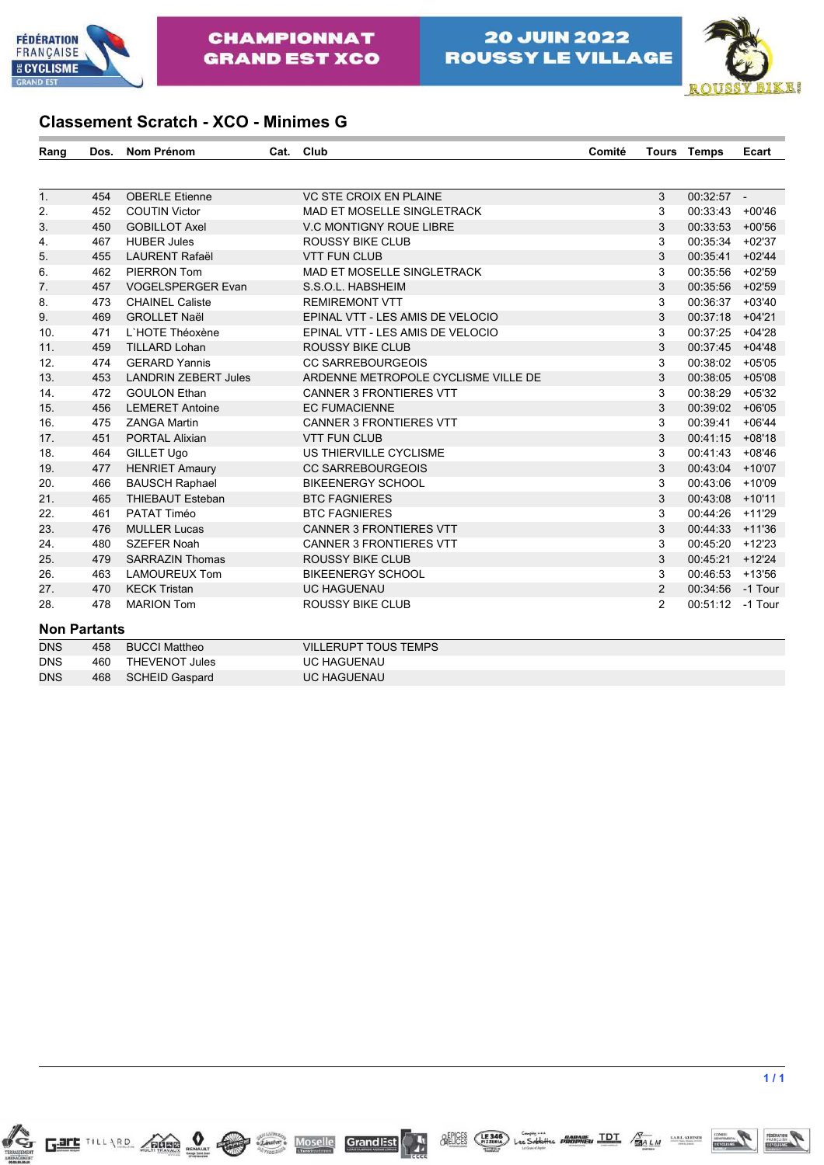



### **Classement Scratch - XCO - Minimes G**

| Rang       | Dos.                | Nom Prénom                  | Cat. | Club                                | Comité | <b>Tours</b>   | Temps            | Ecart    |
|------------|---------------------|-----------------------------|------|-------------------------------------|--------|----------------|------------------|----------|
|            |                     |                             |      |                                     |        |                |                  |          |
| 1.         | 454                 | <b>OBERLE Etienne</b>       |      | <b>VC STE CROIX EN PLAINE</b>       |        | 3              | $00:32:57 -$     |          |
| 2.         | 452                 | <b>COUTIN Victor</b>        |      | MAD ET MOSELLE SINGLETRACK          |        | 3              | 00:33:43 +00'46  |          |
| 3.         | 450                 | <b>GOBILLOT Axel</b>        |      | <b>V.C MONTIGNY ROUE LIBRE</b>      |        | 3              | 00:33:53         | $+00'56$ |
| 4.         | 467                 | <b>HUBER Jules</b>          |      | <b>ROUSSY BIKE CLUB</b>             |        | 3              | 00:35:34         | $+02'37$ |
| 5.         | 455                 | <b>LAURENT Rafaël</b>       |      | <b>VTT FUN CLUB</b>                 |        | 3              | 00:35:41         | $+02'44$ |
| 6.         | 462                 | PIERRON Tom                 |      | MAD ET MOSELLE SINGLETRACK          |        | 3              | 00:35:56         | $+02'59$ |
| 7.         | 457                 | <b>VOGELSPERGER Evan</b>    |      | S.S.O.L. HABSHEIM                   |        | 3              | 00:35:56         | $+02'59$ |
| 8.         | 473                 | <b>CHAINEL Caliste</b>      |      | <b>REMIREMONT VTT</b>               |        | 3              | 00:36:37         | $+03'40$ |
| 9.         | 469                 | <b>GROLLET Naël</b>         |      | EPINAL VTT - LES AMIS DE VELOCIO    |        | 3              | 00:37:18         | $+04'21$ |
| 10.        | 471                 | L'HOTE Théoxène             |      | EPINAL VTT - LES AMIS DE VELOCIO    |        | 3              | 00:37:25         | $+04'28$ |
| 11.        | 459                 | <b>TILLARD Lohan</b>        |      | <b>ROUSSY BIKE CLUB</b>             |        | 3              | 00:37:45         | $+04'48$ |
| 12.        | 474                 | <b>GERARD Yannis</b>        |      | <b>CC SARREBOURGEOIS</b>            |        | 3              | 00:38:02         | $+05'05$ |
| 13.        | 453                 | <b>LANDRIN ZEBERT Jules</b> |      | ARDENNE METROPOLE CYCLISME VILLE DE |        | 3              | 00:38:05         | $+05'08$ |
| 14.        | 472                 | <b>GOULON Ethan</b>         |      | <b>CANNER 3 FRONTIERES VTT</b>      |        | 3              | 00:38:29         | $+05'32$ |
| 15.        | 456                 | <b>LEMERET Antoine</b>      |      | <b>EC FUMACIENNE</b>                |        | 3              | 00:39:02         | $+06'05$ |
| 16.        | 475                 | <b>ZANGA Martin</b>         |      | <b>CANNER 3 FRONTIERES VTT</b>      |        | 3              | 00:39:41         | $+06'44$ |
| 17.        | 451                 | <b>PORTAL Alixian</b>       |      | <b>VTT FUN CLUB</b>                 |        | 3              | 00:41:15         | $+08'18$ |
| 18.        | 464                 | <b>GILLET Ugo</b>           |      | US THIERVILLE CYCLISME              |        | 3              | 00:41:43         | $+08'46$ |
| 19.        | 477                 | <b>HENRIET Amaury</b>       |      | <b>CC SARREBOURGEOIS</b>            |        | 3              | 00:43:04         | $+10'07$ |
| 20.        | 466                 | <b>BAUSCH Raphael</b>       |      | <b>BIKEENERGY SCHOOL</b>            |        | 3              | 00:43:06         | $+10'09$ |
| 21.        | 465                 | <b>THIEBAUT Esteban</b>     |      | <b>BTC FAGNIERES</b>                |        | 3              | 00:43:08         | $+10'11$ |
| 22.        | 461                 | PATAT Timéo                 |      | <b>BTC FAGNIERES</b>                |        | 3              | 00:44:26         | $+11'29$ |
| 23.        | 476                 | <b>MULLER Lucas</b>         |      | <b>CANNER 3 FRONTIERES VTT</b>      |        | 3              | 00:44:33         | $+11'36$ |
| 24.        | 480                 | <b>SZEFER Noah</b>          |      | <b>CANNER 3 FRONTIERES VTT</b>      |        | 3              | 00:45:20         | $+12'23$ |
| 25.        | 479                 | <b>SARRAZIN Thomas</b>      |      | <b>ROUSSY BIKE CLUB</b>             |        | 3              | 00:45:21         | $+12'24$ |
| 26.        | 463                 | <b>LAMOUREUX Tom</b>        |      | <b>BIKEENERGY SCHOOL</b>            |        | 3              | 00:46:53         | $+13'56$ |
| 27.        | 470                 | <b>KECK Tristan</b>         |      | <b>UC HAGUENAU</b>                  |        | 2              | 00:34:56         | -1 Tour  |
| 28.        | 478                 | <b>MARION Tom</b>           |      | <b>ROUSSY BIKE CLUB</b>             |        | $\overline{2}$ | 00:51:12 -1 Tour |          |
|            | <b>Non Partants</b> |                             |      |                                     |        |                |                  |          |
| <b>DNS</b> | 458                 | <b>BUCCI Mattheo</b>        |      | <b>VILLERUPT TOUS TEMPS</b>         |        |                |                  |          |
| <b>DNS</b> | 460                 | <b>THEVENOT Jules</b>       |      | UC HAGUENAU                         |        |                |                  |          |
| <b>DNS</b> | 468                 | <b>SCHEID Gaspard</b>       |      | <b>UC HAGUENAU</b>                  |        |                |                  |          |
|            |                     |                             |      |                                     |        |                |                  |          |

Gart TILLARD CROSS ON CONTROL MOSelle

GrandEst

**A** 

COMITE<br>SEAFEMAND

BELICES (FIZZIRIA) Les Sablettes PHOTONIEU IDI / MALM MARIANAIRE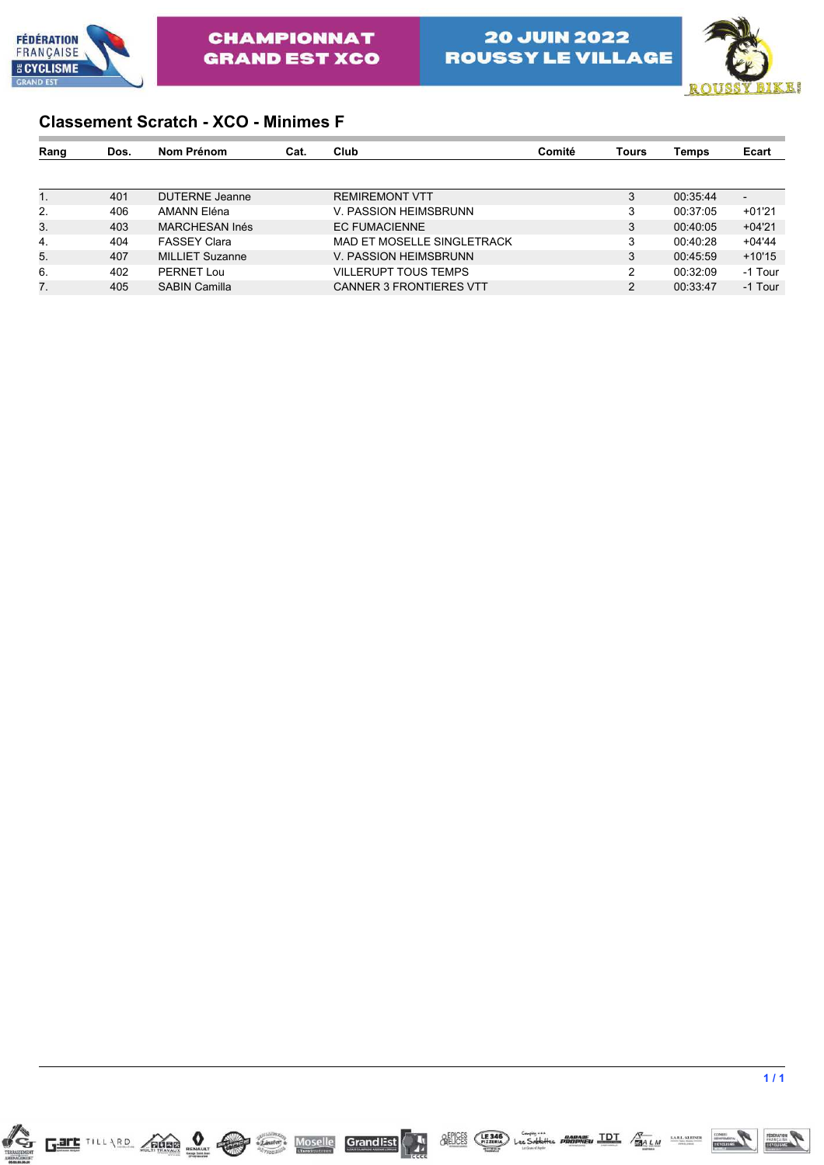



### **Classement Scratch - XCO - Minimes F**

| Rang | Dos. | Nom Prénom             | Cat. | Club                           | Comité | Tours          | Temps    | Ecart    |
|------|------|------------------------|------|--------------------------------|--------|----------------|----------|----------|
|      |      |                        |      |                                |        |                |          |          |
| 1.   | 401  | <b>DUTERNE</b> Jeanne  |      | <b>REMIREMONT VTT</b>          |        | 3              | 00:35:44 |          |
| 2.   | 406  | AMANN Eléna            |      | V. PASSION HEIMSBRUNN          |        | 3              | 00:37:05 | $+01'21$ |
| 3.   | 403  | MARCHESAN Inés         |      | <b>EC FUMACIENNE</b>           |        | 3              | 00:40:05 | $+04'21$ |
| 4.   | 404  | <b>FASSEY Clara</b>    |      | MAD ET MOSELLE SINGLETRACK     |        | 3              | 00:40:28 | $+04'44$ |
| 5.   | 407  | <b>MILLIET Suzanne</b> |      | V. PASSION HEIMSBRUNN          |        | 3              | 00:45:59 | $+10'15$ |
| 6.   | 402  | PERNET Lou             |      | VILLERUPT TOUS TEMPS           |        | 2              | 00:32:09 | -1 Tour  |
| 7.   | 405  | <b>SABIN Camilla</b>   |      | <b>CANNER 3 FRONTIERES VTT</b> |        | $\overline{2}$ | 00:33:47 | -1 Tour  |



 $\frac{\text{SEDCES}}{\text{NEUCES}}$  (FIZIRIA) Les Sobbilles **PROPONEU TDT**  $\frac{\sqrt{3}}{\text{SA L M}}$  since surver

GrandEst

傳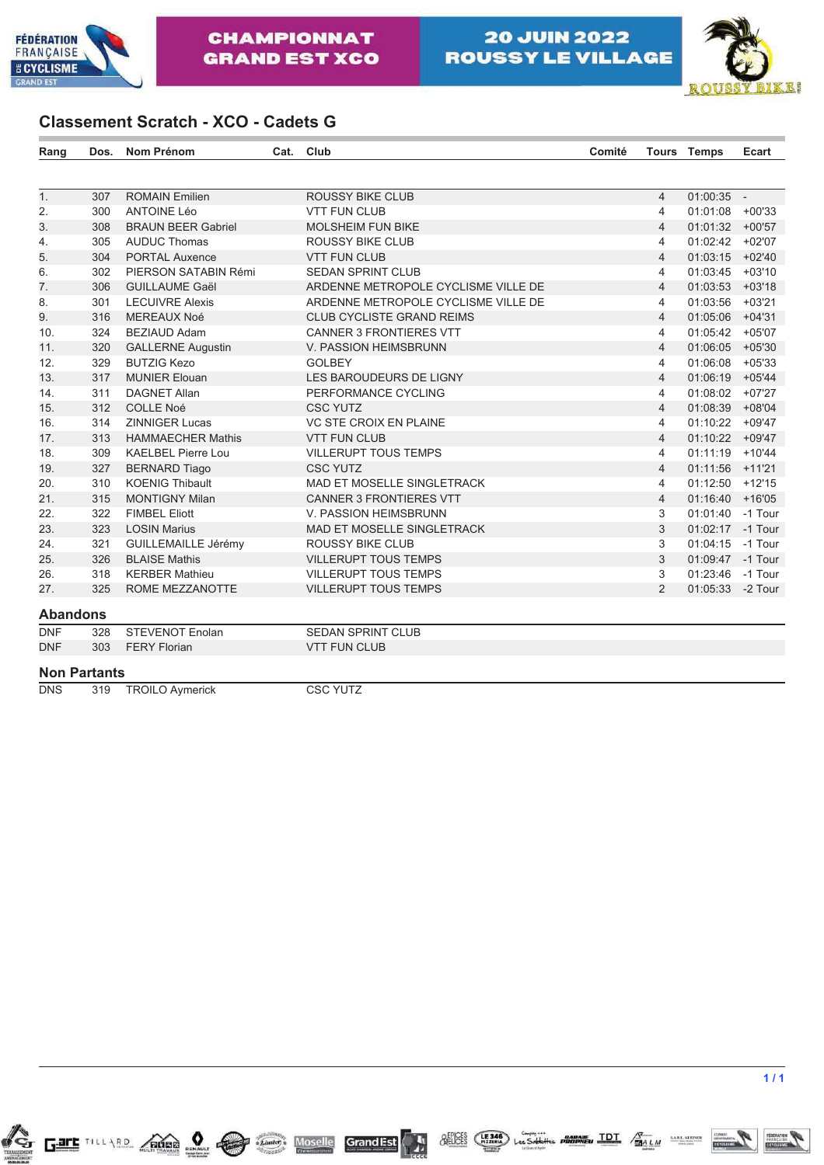



### **Classement Scratch - XCO - Cadets G**

| Rang                | Dos. | <b>Nom Prénom</b>          | Cat. | Club                                | Comité |                | <b>Tours Temps</b> | Ecart    |
|---------------------|------|----------------------------|------|-------------------------------------|--------|----------------|--------------------|----------|
|                     |      |                            |      |                                     |        |                |                    |          |
| $\overline{1}$ .    | 307  | <b>ROMAIN Emilien</b>      |      | <b>ROUSSY BIKE CLUB</b>             |        | $\overline{4}$ | $01:00:35 -$       |          |
| 2.                  | 300  | <b>ANTOINE Léo</b>         |      | <b>VTT FUN CLUB</b>                 |        | $\overline{4}$ | 01:01:08 +00'33    |          |
| 3.                  | 308  | <b>BRAUN BEER Gabriel</b>  |      | <b>MOLSHEIM FUN BIKE</b>            |        | $\overline{4}$ | 01:01:32 +00'57    |          |
| 4.                  | 305  | <b>AUDUC Thomas</b>        |      | <b>ROUSSY BIKE CLUB</b>             |        | $\overline{4}$ | 01:02:42 +02'07    |          |
| 5.                  | 304  | <b>PORTAL Auxence</b>      |      | <b>VTT FUN CLUB</b>                 |        | $\overline{4}$ | 01:03:15 +02'40    |          |
| 6.                  | 302  | PIERSON SATABIN Rémi       |      | <b>SEDAN SPRINT CLUB</b>            |        | $\overline{4}$ | 01:03:45           | $+03'10$ |
| 7.                  | 306  | <b>GUILLAUME Gaël</b>      |      | ARDENNE METROPOLE CYCLISME VILLE DE |        | $\overline{4}$ | 01:03:53           | $+03'18$ |
| 8.                  | 301  | <b>LECUIVRE Alexis</b>     |      | ARDENNE METROPOLE CYCLISME VILLE DE |        | $\overline{4}$ | 01:03:56           | $+03'21$ |
| 9.                  | 316  | <b>MEREAUX Noé</b>         |      | <b>CLUB CYCLISTE GRAND REIMS</b>    |        | $\overline{4}$ | 01:05:06           | $+04'31$ |
| 10.                 | 324  | <b>BEZIAUD Adam</b>        |      | <b>CANNER 3 FRONTIERES VTT</b>      |        | $\overline{4}$ | 01:05:42           | $+05'07$ |
| 11.                 | 320  | <b>GALLERNE Augustin</b>   |      | V. PASSION HEIMSBRUNN               |        | $\overline{4}$ | 01:06:05           | $+05'30$ |
| 12.                 | 329  | <b>BUTZIG Kezo</b>         |      | <b>GOLBEY</b>                       |        | $\overline{4}$ | 01:06:08           | $+05'33$ |
| 13.                 | 317  | <b>MUNIER Elouan</b>       |      | LES BAROUDEURS DE LIGNY             |        | $\overline{4}$ | 01:06:19           | $+05'44$ |
| 14.                 | 311  | <b>DAGNET Allan</b>        |      | PERFORMANCE CYCLING                 |        | $\overline{4}$ | 01:08:02           | $+07'27$ |
| 15.                 | 312  | <b>COLLE Noé</b>           |      | <b>CSC YUTZ</b>                     |        | $\overline{4}$ | 01:08:39           | $+08'04$ |
| 16.                 | 314  | <b>ZINNIGER Lucas</b>      |      | VC STE CROIX EN PLAINE              |        | 4              | 01:10:22           | $+09'47$ |
| 17.                 | 313  | <b>HAMMAECHER Mathis</b>   |      | <b>VTT FUN CLUB</b>                 |        | $\overline{4}$ | 01:10:22           | $+09'47$ |
| 18.                 | 309  | <b>KAELBEL Pierre Lou</b>  |      | <b>VILLERUPT TOUS TEMPS</b>         |        | 4              | 01:11:19           | $+10'44$ |
| 19.                 | 327  | <b>BERNARD Tiago</b>       |      | <b>CSC YUTZ</b>                     |        | 4              | 01:11:56           | $+11'21$ |
| 20.                 | 310  | <b>KOENIG Thibault</b>     |      | <b>MAD ET MOSELLE SINGLETRACK</b>   |        | 4              | 01:12:50 +12'15    |          |
| 21.                 | 315  | <b>MONTIGNY Milan</b>      |      | <b>CANNER 3 FRONTIERES VTT</b>      |        | $\overline{4}$ | 01:16:40           | $+16'05$ |
| 22.                 | 322  | <b>FIMBEL Eliott</b>       |      | V. PASSION HEIMSBRUNN               |        | 3              | 01:01:40 -1 Tour   |          |
| 23.                 | 323  | <b>LOSIN Marius</b>        |      | <b>MAD ET MOSELLE SINGLETRACK</b>   |        | 3              | 01:02:17 -1 Tour   |          |
| 24.                 | 321  | <b>GUILLEMAILLE Jérémy</b> |      | <b>ROUSSY BIKE CLUB</b>             |        | 3              | 01:04:15 -1 Tour   |          |
| 25.                 | 326  | <b>BLAISE Mathis</b>       |      | <b>VILLERUPT TOUS TEMPS</b>         |        | 3              | 01:09:47 -1 Tour   |          |
| 26.                 | 318  | <b>KERBER Mathieu</b>      |      | <b>VILLERUPT TOUS TEMPS</b>         |        | 3              | 01:23:46 -1 Tour   |          |
| 27.                 | 325  | ROME MEZZANOTTE            |      | <b>VILLERUPT TOUS TEMPS</b>         |        | 2              | 01:05:33 -2 Tour   |          |
| <b>Abandons</b>     |      |                            |      |                                     |        |                |                    |          |
| <b>DNF</b>          | 328  | <b>STEVENOT Enolan</b>     |      | <b>SEDAN SPRINT CLUB</b>            |        |                |                    |          |
| <b>DNF</b>          | 303  | <b>FERY Florian</b>        |      | <b>VTT FUN CLUB</b>                 |        |                |                    |          |
| <b>Non Partants</b> |      |                            |      |                                     |        |                |                    |          |
| <b>DNS</b>          | 319  | <b>TROILO Aymerick</b>     |      | <b>CSC YUTZ</b>                     |        |                |                    |          |

**Grand Est** 

優

**FEDERATION** 

 $\frac{\text{SEICES}}{\text{NEICES}}$  (FIZIRA) Les Sobbilles **PROBANE**U **IDI**  $\frac{\sqrt{3}}{134 \text{ L M}}$  socialismes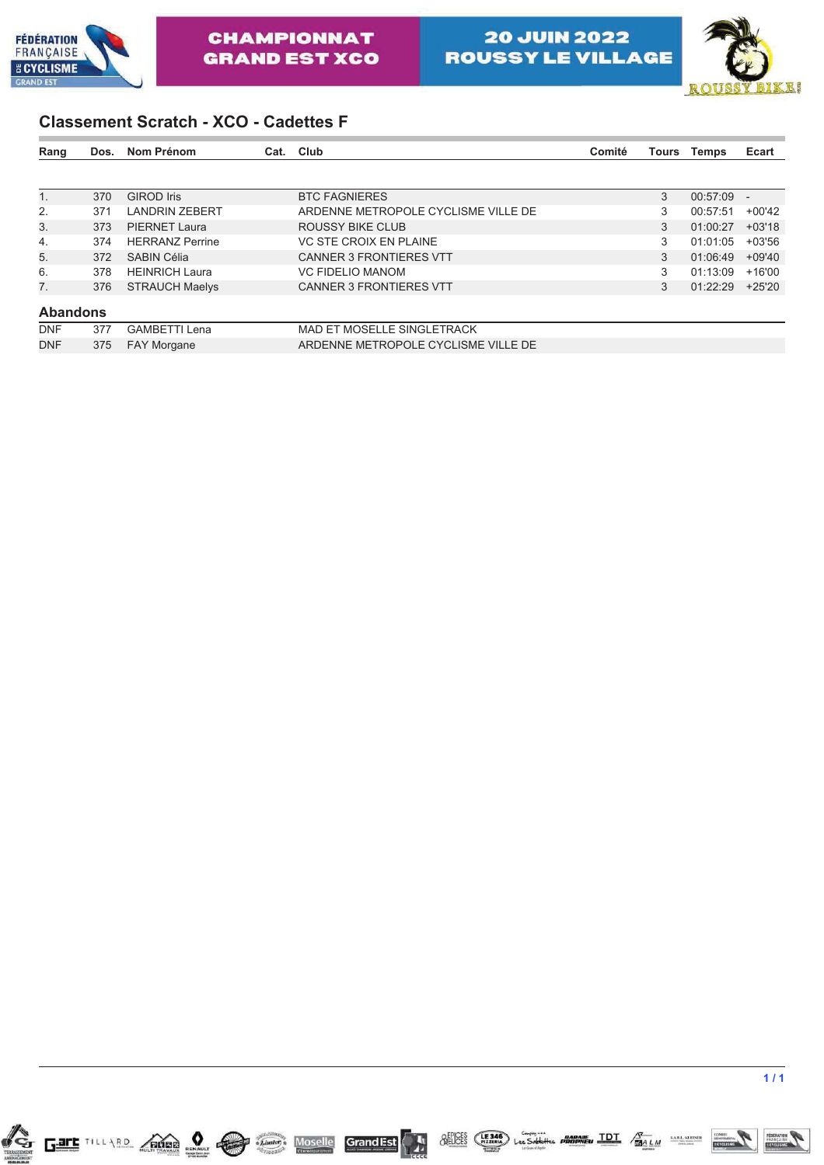



### **Classement Scratch - XCO - Cadettes F**

| Rang            | Dos. | Nom Prénom             | Cat. | Club                                | Comité | Tours | <b>Temps</b> | Ecart    |
|-----------------|------|------------------------|------|-------------------------------------|--------|-------|--------------|----------|
|                 |      |                        |      |                                     |        |       |              |          |
| $1_{-}$         | 370  | <b>GIROD</b> Iris      |      | <b>BTC FAGNIERES</b>                |        | 3     | 00:57:09     |          |
| 2.              | 371  | <b>LANDRIN ZEBERT</b>  |      | ARDENNE METROPOLE CYCLISME VILLE DE |        | 3     | 00:57:51     | $+00'42$ |
| 3.              | 373  | <b>PIERNET Laura</b>   |      | ROUSSY BIKE CLUB                    |        | 3     | 01:00:27     | $+03'18$ |
| 4.              | 374  | <b>HERRANZ Perrine</b> |      | VC STE CROIX EN PLAINE              |        | 3     | 01:01:05     | $+03'56$ |
| 5.              | 372  | <b>SABIN Célia</b>     |      | <b>CANNER 3 FRONTIERES VTT</b>      |        | 3     | 01:06:49     | +09'40   |
| 6.              | 378  | <b>HEINRICH Laura</b>  |      | <b>VC FIDELIO MANOM</b>             |        | 3     | 01:13:09     | $+16'00$ |
| 7.              | 376  | <b>STRAUCH Maelys</b>  |      | <b>CANNER 3 FRONTIERES VTT</b>      |        | 3     | 01:22:29     | $+25'20$ |
| <b>Abandons</b> |      |                        |      |                                     |        |       |              |          |
| <b>DNF</b>      | 377  | <b>GAMBETTI Lena</b>   |      | <b>MAD ET MOSELLE SINGLETRACK</b>   |        |       |              |          |
| <b>DNF</b>      | 375  | <b>FAY Morgane</b>     |      | ARDENNE METROPOLE CYCLISME VILLE DE |        |       |              |          |



 $\frac{\text{SEICES}}{\text{NEICES}}$  (FIZIRA) Les Sobbilles **PROBANE**U **IDI**  $\frac{\sqrt{3}}{134 \text{ L M}}$  socialismes

GrandEst

A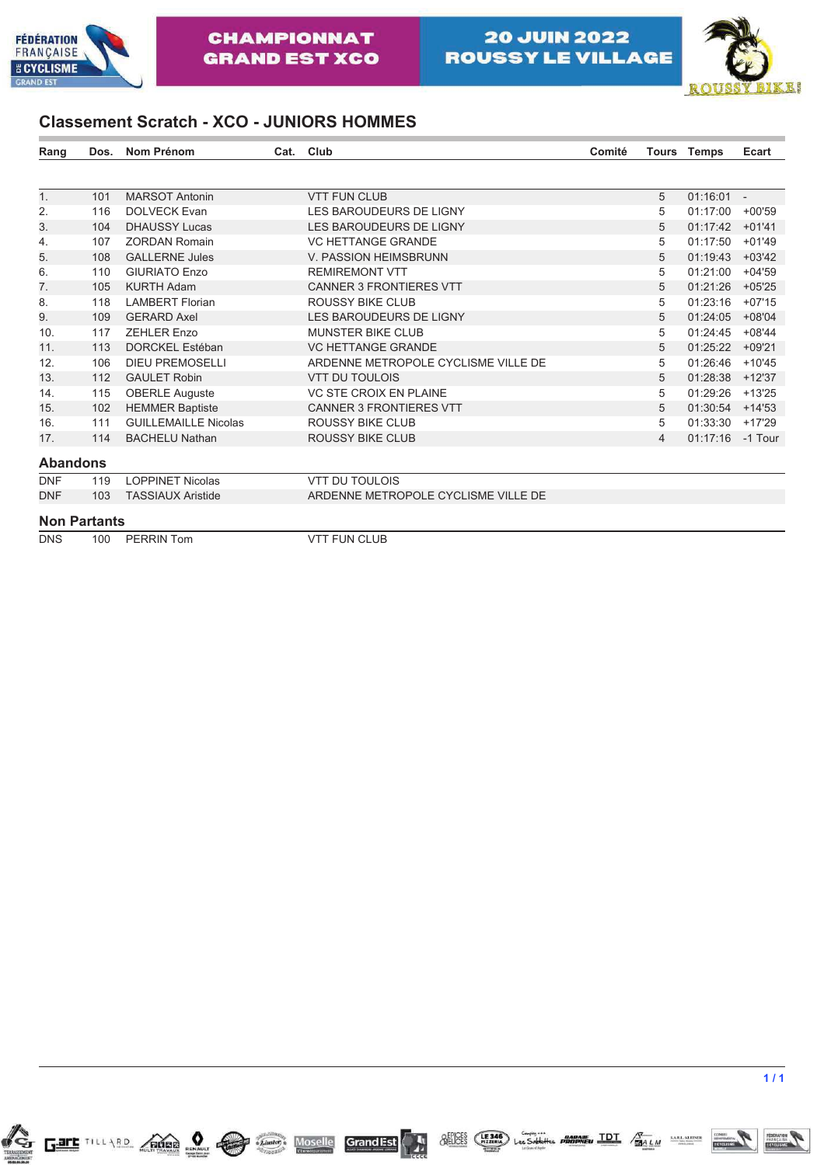



### **Classement Scratch - XCO - JUNIORS HOMMES**

| Rang                | Dos. | <b>Nom Prénom</b>           | Cat. | Club                                | Comité |                | <b>Tours Temps</b> | Ecart    |
|---------------------|------|-----------------------------|------|-------------------------------------|--------|----------------|--------------------|----------|
|                     |      |                             |      |                                     |        |                |                    |          |
| 1 <sub>1</sub>      | 101  | <b>MARSOT Antonin</b>       |      | <b>VTT FUN CLUB</b>                 |        | 5              | $01:16:01 -$       |          |
| 2.                  | 116  | <b>DOLVECK Evan</b>         |      | LES BAROUDEURS DE LIGNY             |        | 5              | 01:17:00           | $+00'59$ |
| 3.                  | 104  | <b>DHAUSSY Lucas</b>        |      | LES BAROUDEURS DE LIGNY             |        | 5              | 01:17:42           | $+01'41$ |
| 4.                  | 107  | <b>ZORDAN Romain</b>        |      | <b>VC HETTANGE GRANDE</b>           |        | 5              | 01:17:50           | $+01'49$ |
| 5.                  | 108  | <b>GALLERNE Jules</b>       |      | V. PASSION HEIMSBRUNN               |        | 5              | 01:19:43           | $+03'42$ |
| 6.                  | 110  | <b>GIURIATO Enzo</b>        |      | <b>REMIREMONT VTT</b>               |        | 5              | 01:21:00           | $+04'59$ |
| 7.                  | 105  | <b>KURTH Adam</b>           |      | <b>CANNER 3 FRONTIERES VTT</b>      |        | 5              | 01:21:26           | $+05'25$ |
| 8.                  | 118  | <b>LAMBERT Florian</b>      |      | ROUSSY BIKE CLUB                    |        | 5              | 01:23:16           | $+07'15$ |
| 9.                  | 109  | <b>GERARD Axel</b>          |      | LES BAROUDEURS DE LIGNY             |        | 5              | 01:24:05           | $+08'04$ |
| 10.                 | 117  | <b>ZEHLER Enzo</b>          |      | <b>MUNSTER BIKE CLUB</b>            |        | 5              | 01:24:45           | $+08'44$ |
| 11.                 | 113  | <b>DORCKEL Estéban</b>      |      | <b>VC HETTANGE GRANDE</b>           |        | 5              | 01:25:22           | $+09'21$ |
| 12.                 | 106  | <b>DIEU PREMOSELLI</b>      |      | ARDENNE METROPOLE CYCLISME VILLE DE |        | 5              | 01:26:46           | $+10'45$ |
| 13.                 | 112  | <b>GAULET Robin</b>         |      | <b>VTT DU TOULOIS</b>               |        | 5              | 01:28:38           | $+12'37$ |
| 14.                 | 115  | <b>OBERLE Auguste</b>       |      | VC STE CROIX EN PLAINE              |        | 5              | 01:29:26           | $+13'25$ |
| 15.                 | 102  | <b>HEMMER Baptiste</b>      |      | <b>CANNER 3 FRONTIERES VTT</b>      |        | 5              | 01:30:54           | $+14'53$ |
| 16.                 | 111  | <b>GUILLEMAILLE Nicolas</b> |      | ROUSSY BIKE CLUB                    |        | 5              | 01:33:30           | $+17'29$ |
| 17.                 | 114  | <b>BACHELU Nathan</b>       |      | <b>ROUSSY BIKE CLUB</b>             |        | $\overline{4}$ | 01:17:16           | -1 Tour  |
| <b>Abandons</b>     |      |                             |      |                                     |        |                |                    |          |
| <b>DNF</b>          | 119  | <b>LOPPINET Nicolas</b>     |      | <b>VTT DU TOULOIS</b>               |        |                |                    |          |
| <b>DNF</b>          | 103  | <b>TASSIAUX Aristide</b>    |      | ARDENNE METROPOLE CYCLISME VILLE DE |        |                |                    |          |
| <b>Non Partants</b> |      |                             |      |                                     |        |                |                    |          |
| <b>DNS</b>          | 100  | <b>PERRIN Tom</b>           |      | <b>VTT FUN CLUB</b>                 |        |                |                    |          |

GrandEst

A



 $\frac{\text{SEICES}}{\text{NEICES}}$  (FIZIRA) Les Sobbilles **PROBANE**U **IDI**  $\frac{\sqrt{3}}{134 \text{ L M}}$  socialismes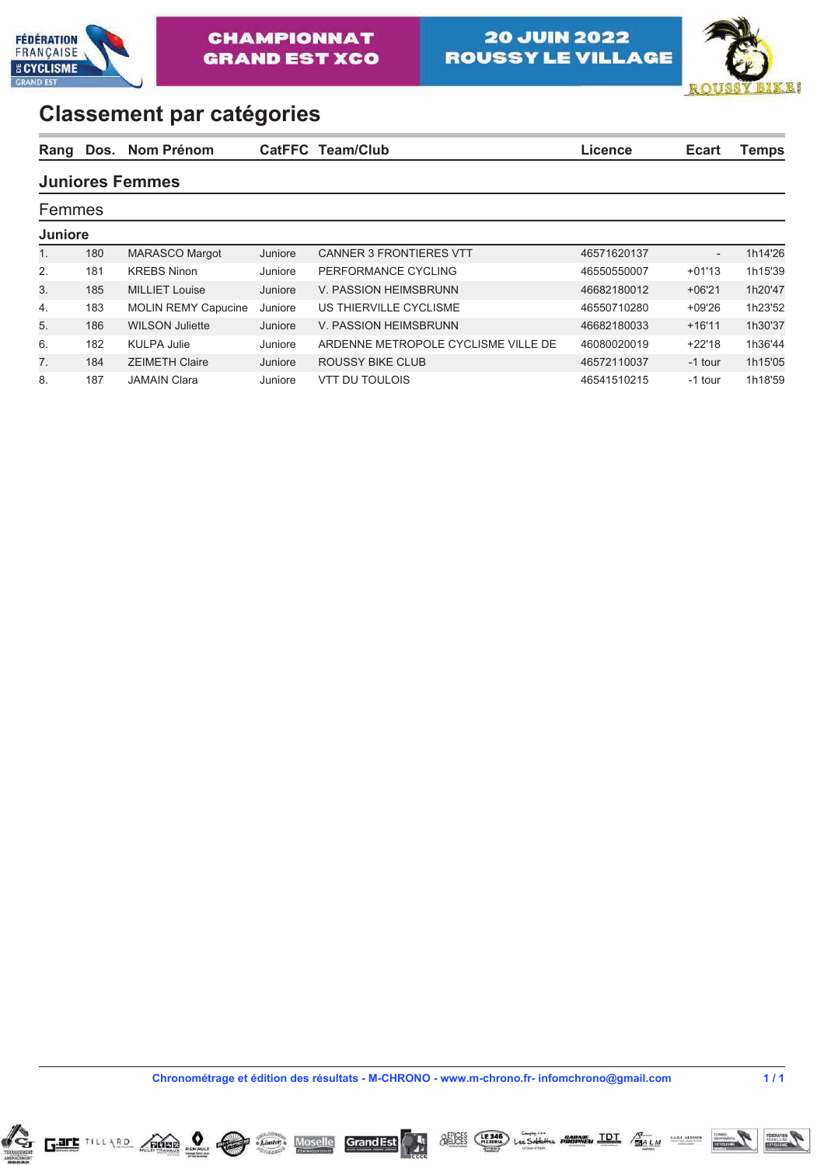



| Rang           |     | Dos. Nom Prénom        |         | CatFFC Team/Club               | Licence     | <b>Ecart</b> | <b>Temps</b> |
|----------------|-----|------------------------|---------|--------------------------------|-------------|--------------|--------------|
|                |     | <b>Juniores Femmes</b> |         |                                |             |              |              |
| Femmes         |     |                        |         |                                |             |              |              |
| <b>Juniore</b> |     |                        |         |                                |             |              |              |
|                | 180 | <b>MARASCO Margot</b>  | Juniore | <b>CANNER 3 FRONTIERES VTT</b> | 46571620137 |              | 1h14'26      |

2. 181 KREBS Ninon Juniore PERFORMANCE CYCLING 46550550007 +01'13 1h15'39 3. 185 MILLIET Louise Juniore V. PASSION HEIMSBRUNN 46682180012 +06'21 1h20'47 4. 183 MOLIN REMY Capucine Juniore US THIERVILLE CYCLISME 46550710280 +09'26 1h23'52 5. 186 WILSON Juliette Juniore V. PASSION HEIMSBRUNN 46682180033 +16'11 1h30'37 6. 182 KULPA Julie Juniore ARDENNE METROPOLE CYCLISME VILLE DE 46080020019 +22'18 1h36'44 7. 184 ZEIMETH Claire Juniore ROUSSY BIKE CLUB 46572110037 -1 tour 1h15'05 8. 187 JAMAIN Clara Juniore VTT DU TOULOIS 46541510215 -1 tour 1h18'59

| Chronométrage et édition des résultats - M-CHRONO - www.m-chrono.fr- infomchrono@gmail.com | 1/1 |
|--------------------------------------------------------------------------------------------|-----|
|                                                                                            |     |

**Grand Est** 

*<u>AELICES</u>* 



 $\n<sub>RENAUU</sub>\n $\leftarrow$$ 

 $\pm$  Linster



**TDT**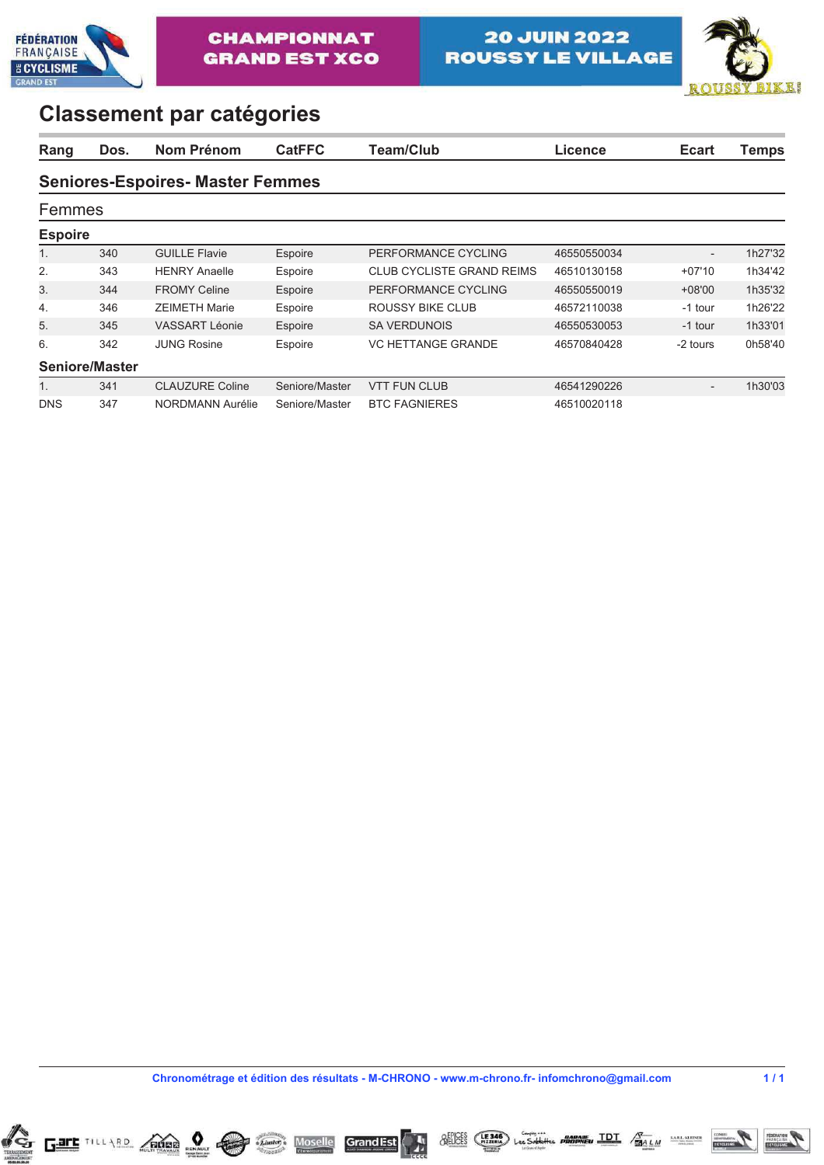



| Rang           | Dos.           | Nom Prénom                             | <b>CatFFC</b>  | Team/Club                        | Licence     | <b>Ecart</b>             | <b>Temps</b> |
|----------------|----------------|----------------------------------------|----------------|----------------------------------|-------------|--------------------------|--------------|
|                |                | <b>Seniores-Espoires-Master Femmes</b> |                |                                  |             |                          |              |
| Femmes         |                |                                        |                |                                  |             |                          |              |
| <b>Espoire</b> |                |                                        |                |                                  |             |                          |              |
| 1.             | 340            | <b>GUILLE Flavie</b>                   | Espoire        | PERFORMANCE CYCLING              | 46550550034 | $\overline{\phantom{0}}$ | 1h27'32      |
| 2.             | 343            | <b>HENRY Anaelle</b>                   | Espoire        | <b>CLUB CYCLISTE GRAND REIMS</b> | 46510130158 | $+07'10$                 | 1h34'42      |
| 3.             | 344            | <b>FROMY Celine</b>                    | Espoire        | PERFORMANCE CYCLING              | 46550550019 | $+08'00$                 | 1h35'32      |
| 4.             | 346            | <b>ZEIMETH Marie</b>                   | Espoire        | ROUSSY BIKE CLUB                 | 46572110038 | -1 tour                  | 1h26'22      |
| 5.             | 345            | <b>VASSART Léonie</b>                  | Espoire        | <b>SA VERDUNOIS</b>              | 46550530053 | -1 tour                  | 1h33'01      |
| 6.             | 342            | <b>JUNG Rosine</b>                     | Espoire        | <b>VC HETTANGE GRANDE</b>        | 46570840428 | -2 tours                 | 0h58'40      |
|                | Seniore/Master |                                        |                |                                  |             |                          |              |
| $1_{\cdot}$    | 341            | <b>CLAUZURE Coline</b>                 | Seniore/Master | <b>VTT FUN CLUB</b>              | 46541290226 | $\overline{\phantom{0}}$ | 1h30'03      |
| <b>DNS</b>     | 347            | NORDMANN Aurélie                       | Seniore/Master | <b>BTC FAGNIERES</b>             | 46510020118 |                          |              |

**ChronomÈtrage et Èdition des rÈsultats - M-CHRONO - www.m-chrono.fr- infomchrono@gmail.com 1 / 1**

**Grand Est** 

*<u>AFFICES</u>* 

 $(E346)$ 





Les Sablettes **PROPREU TDT**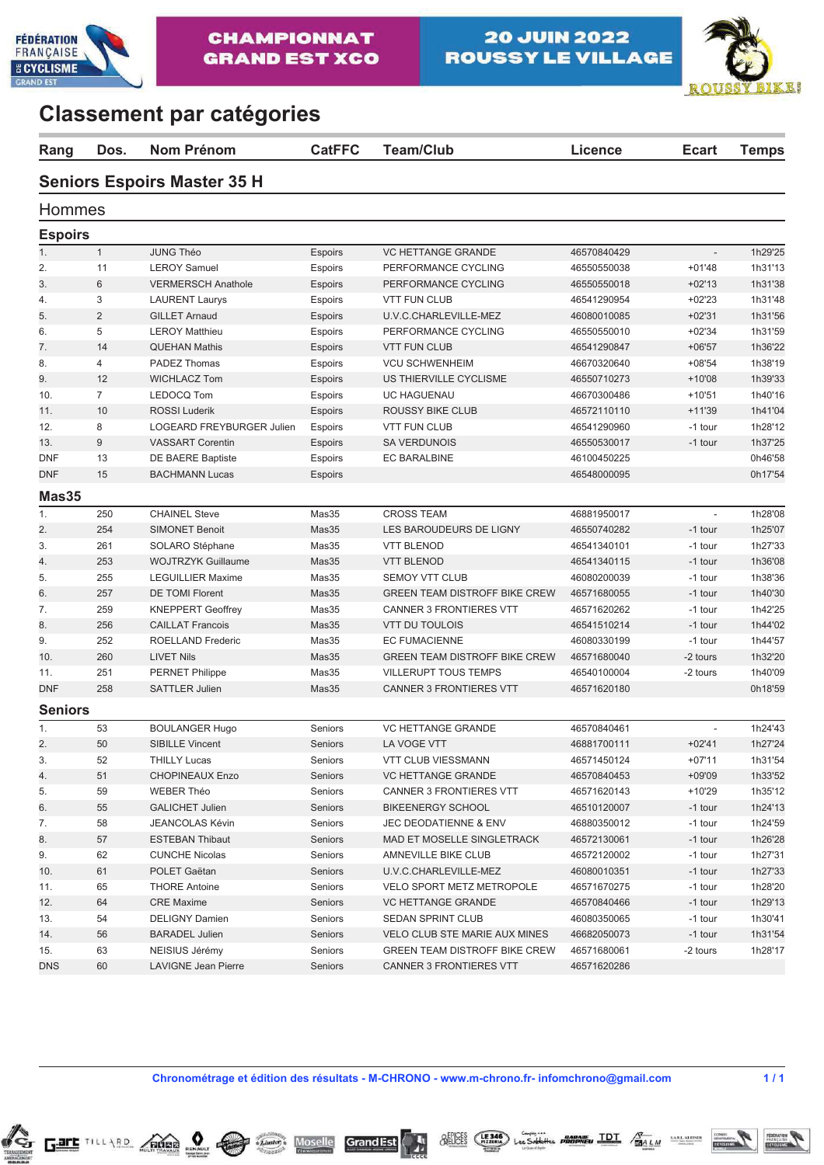



| Rang           | Dos.           | <b>Nom Prénom</b>                  | <b>CatFFC</b>  | <b>Team/Club</b>                     | <b>Licence</b> | <b>Ecart</b>             | <b>Temps</b> |
|----------------|----------------|------------------------------------|----------------|--------------------------------------|----------------|--------------------------|--------------|
|                |                | <b>Seniors Espoirs Master 35 H</b> |                |                                      |                |                          |              |
| Hommes         |                |                                    |                |                                      |                |                          |              |
| <b>Espoirs</b> |                |                                    |                |                                      |                |                          |              |
| 1.             | $\mathbf{1}$   | <b>JUNG Théo</b>                   | <b>Espoirs</b> | <b>VC HETTANGE GRANDE</b>            | 46570840429    | $\overline{\phantom{a}}$ | 1h29'25      |
| 2.             | 11             | <b>LEROY Samuel</b>                | Espoirs        | PERFORMANCE CYCLING                  | 46550550038    | $+01'48$                 | 1h31'13      |
| 3.             | 6              | <b>VERMERSCH Anathole</b>          | <b>Espoirs</b> | PERFORMANCE CYCLING                  | 46550550018    | $+02'13$                 | 1h31'38      |
| 4.             | 3              | <b>LAURENT Laurys</b>              | <b>Espoirs</b> | <b>VTT FUN CLUB</b>                  | 46541290954    | $+02'23$                 | 1h31'48      |
| 5.             | 2              | <b>GILLET Arnaud</b>               | <b>Espoirs</b> | U.V.C.CHARLEVILLE-MEZ                | 46080010085    | $+02'31$                 | 1h31'56      |
| 6.             | 5              | <b>LEROY Matthieu</b>              | <b>Espoirs</b> | PERFORMANCE CYCLING                  | 46550550010    | $+02'34$                 | 1h31'59      |
| 7.             | 14             | <b>QUEHAN Mathis</b>               | <b>Espoirs</b> | <b>VTT FUN CLUB</b>                  | 46541290847    | $+06'57$                 | 1h36'22      |
| 8.             | 4              | PADEZ Thomas                       | Espoirs        | <b>VCU SCHWENHEIM</b>                | 46670320640    | $+08'54$                 | 1h38'19      |
| 9.             | 12             | <b>WICHLACZ Tom</b>                | <b>Espoirs</b> | US THIERVILLE CYCLISME               | 46550710273    | $+10'08$                 | 1h39'33      |
| 10.            | $\overline{7}$ | LEDOCQ Tom                         | <b>Espoirs</b> | <b>UC HAGUENAU</b>                   | 46670300486    | $+10'51$                 | 1h40'16      |
| 11.            | 10             | <b>ROSSI Luderik</b>               | <b>Espoirs</b> | <b>ROUSSY BIKE CLUB</b>              | 46572110110    | $+11'39$                 | 1h41'04      |
| 12.            | 8              | LOGEARD FREYBURGER Julien          | Espoirs        | <b>VTT FUN CLUB</b>                  | 46541290960    | -1 tour                  | 1h28'12      |
| 13.            | 9              | <b>VASSART Corentin</b>            | <b>Espoirs</b> | <b>SA VERDUNOIS</b>                  | 46550530017    | -1 tour                  | 1h37'25      |
| <b>DNF</b>     | 13             | <b>DE BAERE Baptiste</b>           | Espoirs        | <b>EC BARALBINE</b>                  | 46100450225    |                          | 0h46'58      |
| <b>DNF</b>     | 15             | <b>BACHMANN Lucas</b>              | <b>Espoirs</b> |                                      | 46548000095    |                          | 0h17'54      |
| Mas35          |                |                                    |                |                                      |                |                          |              |
| 1.             | 250            | <b>CHAINEL Steve</b>               | Mas35          | <b>CROSS TEAM</b>                    | 46881950017    |                          | 1h28'08      |
|                |                |                                    |                |                                      |                |                          | 1h25'07      |
| 2.             | 254            | <b>SIMONET Benoit</b>              | Mas35          | LES BAROUDEURS DE LIGNY              | 46550740282    | -1 tour                  |              |
| 3.             | 261            | SOLARO Stéphane                    | Mas35          | <b>VTT BLENOD</b>                    | 46541340101    | -1 tour                  | 1h27'33      |
| 4.             | 253            | <b>WOJTRZYK Guillaume</b>          | Mas35          | <b>VTT BLENOD</b>                    | 46541340115    | -1 tour                  | 1h36'08      |
| 5.             | 255            | <b>LEGUILLIER Maxime</b>           | Mas35          | <b>SEMOY VTT CLUB</b>                | 46080200039    | -1 tour                  | 1h38'36      |
| 6.             | 257            | <b>DE TOMI Florent</b>             | Mas35          | <b>GREEN TEAM DISTROFF BIKE CREW</b> | 46571680055    | -1 tour                  | 1h40'30      |
| 7.             | 259            | <b>KNEPPERT Geoffrey</b>           | Mas35          | <b>CANNER 3 FRONTIERES VTT</b>       | 46571620262    | -1 tour                  | 1h42'25      |
| 8.             | 256            | <b>CAILLAT Francois</b>            | Mas35          | <b>VTT DU TOULOIS</b>                | 46541510214    | -1 tour                  | 1h44'02      |
| 9.             | 252            | ROELLAND Frederic                  | Mas35          | <b>EC FUMACIENNE</b>                 | 46080330199    | -1 tour                  | 1h44'57      |
| 10.            | 260            | <b>LIVET Nils</b>                  | Mas35          | <b>GREEN TEAM DISTROFF BIKE CREW</b> | 46571680040    | -2 tours                 | 1h32'20      |
| 11.            | 251            | <b>PERNET Philippe</b>             | Mas35          | <b>VILLERUPT TOUS TEMPS</b>          | 46540100004    | -2 tours                 | 1h40'09      |
| <b>DNF</b>     | 258            | <b>SATTLER Julien</b>              | Mas35          | <b>CANNER 3 FRONTIERES VTT</b>       | 46571620180    |                          | 0h18'59      |
| <b>Seniors</b> |                |                                    |                |                                      |                |                          |              |
| 1.             | 53             | <b>BOULANGER Hugo</b>              | Seniors        | <b>VC HETTANGE GRANDE</b>            | 46570840461    | $\blacksquare$           | 1h24'43      |
| 2.             | 50             | <b>SIBILLE Vincent</b>             | Seniors        | LA VOGE VTT                          | 46881700111    | $+02'41$                 | 1h27'24      |
| 3.             | 52             | THILLY Lucas                       | Seniors        | VTT CLUB VIESSMANN                   | 46571450124    | $+07'11$                 | 1h31'54      |
| 4.             | 51             | <b>CHOPINEAUX Enzo</b>             | Seniors        | VC HETTANGE GRANDE                   | 46570840453    | $+09'09$                 | 1h33'52      |
| 5.             | 59             | <b>WEBER Théo</b>                  | Seniors        | <b>CANNER 3 FRONTIERES VTT</b>       | 46571620143    | $+10'29$                 | 1h35'12      |
| 6.             | 55             | <b>GALICHET Julien</b>             | Seniors        | <b>BIKEENERGY SCHOOL</b>             | 46510120007    | -1 tour                  | 1h24'13      |
| 7.             | 58             | <b>JEANCOLAS Kévin</b>             | Seniors        | JEC DEODATIENNE & ENV                | 46880350012    | -1 tour                  | 1h24'59      |
| 8.             | 57             | <b>ESTEBAN Thibaut</b>             | Seniors        | MAD ET MOSELLE SINGLETRACK           | 46572130061    | -1 tour                  | 1h26'28      |
| 9.             | 62             | <b>CUNCHE Nicolas</b>              | Seniors        | AMNEVILLE BIKE CLUB                  | 46572120002    | -1 tour                  | 1h27'31      |
| 10.            | 61             | POLET Gaëtan                       | Seniors        | U.V.C.CHARLEVILLE-MEZ                | 46080010351    | -1 tour                  | 1h27'33      |
| 11.            | 65             | <b>THORE Antoine</b>               | Seniors        | VELO SPORT METZ METROPOLE            | 46571670275    | -1 tour                  | 1h28'20      |
| 12.            | 64             | <b>CRE Maxime</b>                  | Seniors        | <b>VC HETTANGE GRANDE</b>            | 46570840466    | -1 tour                  | 1h29'13      |
| 13.            | 54             | <b>DELIGNY Damien</b>              | Seniors        | SEDAN SPRINT CLUB                    | 46080350065    | -1 tour                  | 1h30'41      |
| 14.            | 56             | <b>BARADEL Julien</b>              | Seniors        | VELO CLUB STE MARIE AUX MINES        | 46682050073    | -1 tour                  | 1h31'54      |
| 15.            | 63             | NEISIUS Jérémy                     | Seniors        | <b>GREEN TEAM DISTROFF BIKE CREW</b> | 46571680061    | -2 tours                 | 1h28'17      |
| <b>DNS</b>     | 60             | <b>LAVIGNE Jean Pierre</b>         | Seniors        | <b>CANNER 3 FRONTIERES VTT</b>       | 46571620286    |                          |              |

**ChronomÈtrage et Èdition des rÈsultats - M-CHRONO - www.m-chrono.fr- infomchrono@gmail.com 1 / 1**

GrandEst

**Moselle** 

*<u>AFFICES</u>* 

 $(E146)$ 

Les Sablette





**PROPREU TDT** 

**SARL KLEINER** 

**BALM**